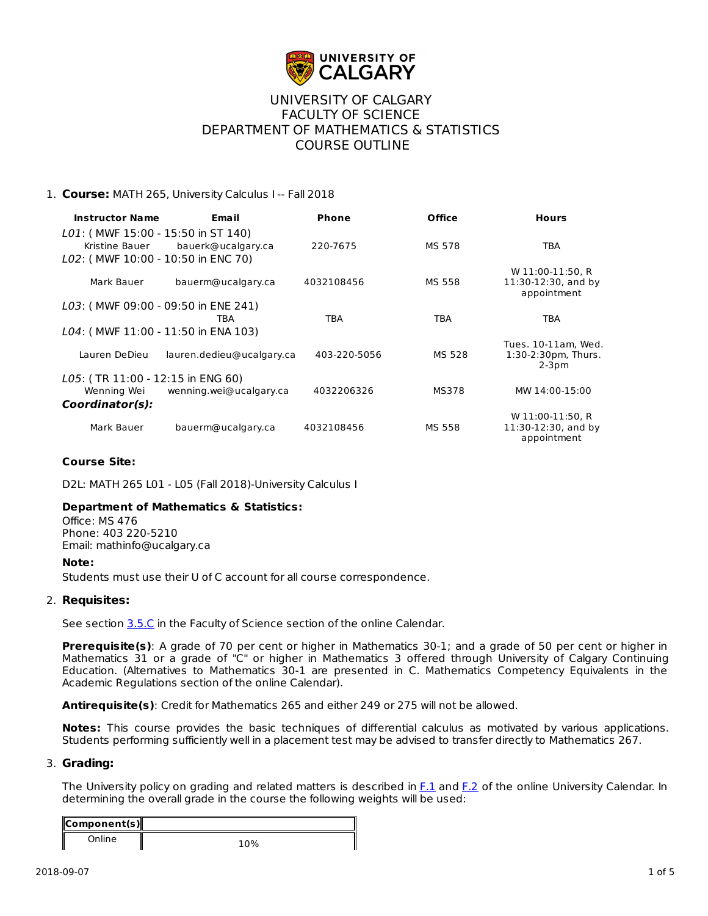

# UNIVERSITY OF CALGARY FACULTY OF SCIENCE DEPARTMENT OF MATHEMATICS & STATISTICS COURSE OUTLINE

## 1. **Course:** MATH 265, University Calculus I -- Fall 2018

| <b>Instructor Name</b>               | Email                     | <b>Phone</b> | Office | <b>Hours</b>                       |
|--------------------------------------|---------------------------|--------------|--------|------------------------------------|
| L01: (MWF 15:00 - 15:50 in ST 140)   |                           |              |        |                                    |
| Kristine Bauer                       | bauerk@ucalgary.ca        | 220-7675     | MS 578 | TBA                                |
| L02: (MWF 10:00 - 10:50 in ENC 70)   |                           |              |        |                                    |
|                                      |                           |              |        | W 11:00-11:50, R                   |
| Mark Bauer                           | bauerm@ucalgary.ca        | 4032108456   | MS 558 | 11:30-12:30, and by<br>appointment |
| L03: (MWF 09:00 - 09:50 in ENE 241)  |                           |              |        |                                    |
|                                      | TBA                       | TBA          | TBA    | TBA                                |
| L04: (MWF 11:00 - 11:50 in ENA 103)  |                           |              |        |                                    |
|                                      |                           |              |        | Tues. 10-11am, Wed.                |
| Lauren DeDieu                        | lauren.dedieu@ucalgary.ca | 403-220-5056 | MS 528 | 1:30-2:30pm, Thurs.<br>$2-3pm$     |
| $L05$ : (TR 11:00 - 12:15 in ENG 60) |                           |              |        |                                    |
| Wenning Wei                          | wenning.wei@ucalgary.ca   | 4032206326   | MS378  | MW 14:00-15:00                     |
| Coordinator(s):                      |                           |              |        |                                    |
|                                      |                           |              |        | W 11:00-11:50, R                   |
| Mark Bauer                           | bauerm@ucalgary.ca        | 4032108456   | MS 558 | 11:30-12:30, and by<br>appointment |

## **Course Site:**

D2L: MATH 265 L01 - L05 (Fall 2018)-University Calculus I

#### **Department of Mathematics & Statistics:**

Office: MS 476 Phone: 403 220-5210 Email: mathinfo@ucalgary.ca

### **Note:**

Students must use their U of C account for all course correspondence.

#### 2. **Requisites:**

See section [3.5.C](http://www.ucalgary.ca/pubs/calendar/current/sc-3-5.html) in the Faculty of Science section of the online Calendar.

**Prerequisite(s)**: A grade of 70 per cent or higher in Mathematics 30-1; and a grade of 50 per cent or higher in Mathematics 31 or a grade of "C" or higher in Mathematics 3 offered through University of Calgary Continuing Education. (Alternatives to Mathematics 30-1 are presented in C. Mathematics Competency Equivalents in the Academic Regulations section of the online Calendar).

**Antirequisite(s)**: Credit for Mathematics 265 and either 249 or 275 will not be allowed.

**Notes:** This course provides the basic techniques of differential calculus as motivated by various applications. Students performing sufficiently well in a placement test may be advised to transfer directly to Mathematics 267.

### 3. **Grading:**

The University policy on grading and related matters is described in [F.1](http://www.ucalgary.ca/pubs/calendar/current/f-1.html) and [F.2](http://www.ucalgary.ca/pubs/calendar/current/f-2.html) of the online University Calendar. In determining the overall grade in the course the following weights will be used:

| Component(s) |     |
|--------------|-----|
| Online       | 10% |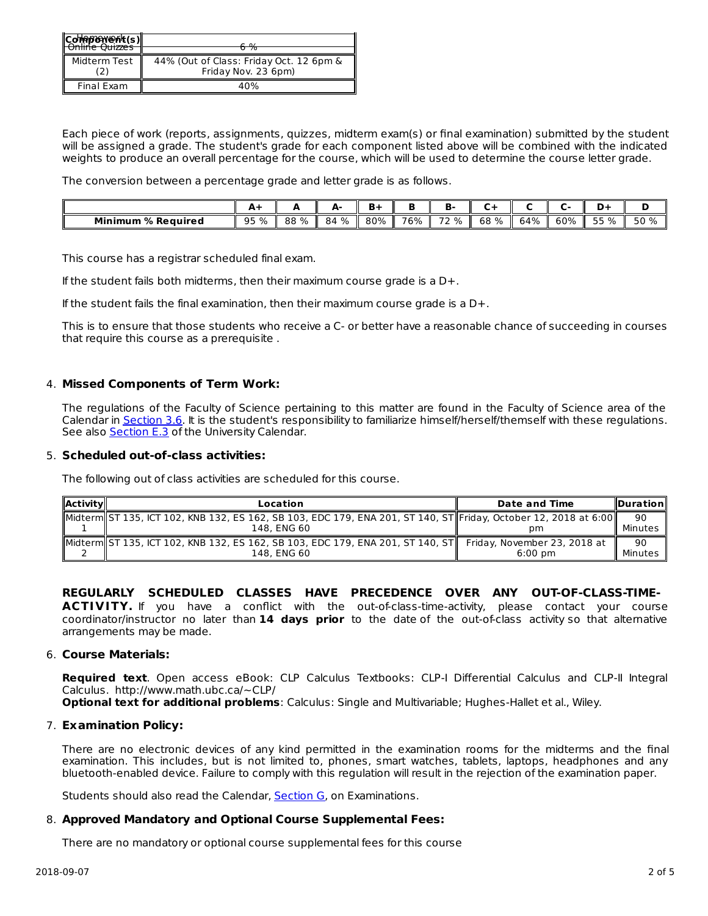| Composytent (s) | c o                                                            |
|-----------------|----------------------------------------------------------------|
| Midterm Test    | 44% (Out of Class: Friday Oct. 12 6pm &<br>Friday Nov. 23 6pm) |
| Final Exam      | 4በ%                                                            |

Each piece of work (reports, assignments, quizzes, midterm exam(s) or final examination) submitted by the student will be assigned a grade. The student's grade for each component listed above will be combined with the indicated weights to produce an overall percentage for the course, which will be used to determine the course letter grade.

The conversion between a percentage grade and letter grade is as follows.

|                           | $\mathbf{H}$   |            |      | B+  |     | D.   |      |     |     | -<br>                      |      |
|---------------------------|----------------|------------|------|-----|-----|------|------|-----|-----|----------------------------|------|
| <b>Minimum % Required</b> | $QF$ $Q$<br>-- | 88 %<br>″∩ | 84 % | 80% | 76% | 72 % | 68 % | 64% | 60% | $ -$<br>%<br>Ш<br>--<br>-- | 50 % |

This course has a registrar scheduled final exam.

If the student fails both midterms, then their maximum course grade is a D+.

If the student fails the final examination, then their maximum course grade is a  $D+$ .

This is to ensure that those students who receive a C- or better have a reasonable chance of succeeding in courses that require this course as a prerequisite .

## 4. **Missed Components of Term Work:**

The regulations of the Faculty of Science pertaining to this matter are found in the Faculty of Science area of the Calendar in [Section](http://www.ucalgary.ca/pubs/calendar/current/sc-3-6.html) 3.6. It is the student's responsibility to familiarize himself/herself/themself with these regulations. See also **[Section](http://www.ucalgary.ca/pubs/calendar/current/e-3.html) E.3** of the University Calendar.

## 5. **Scheduled out-of-class activities:**

The following out of class activities are scheduled for this course.

| <b>Activity</b> | Location                                                                                                                       | <b>Date and Time</b> | <b>Duration</b> |
|-----------------|--------------------------------------------------------------------------------------------------------------------------------|----------------------|-----------------|
|                 | Midterm ST 135, ICT 102, KNB 132, ES 162, SB 103, EDC 179, ENA 201, ST 140, ST Friday, October 12, 2018 at 6:00<br>148. ENG 60 | pm                   | 90<br>Minutes   |
|                 | Midterm ST 135, ICT 102, KNB 132, ES 162, SB 103, EDC 179, ENA 201, ST 140, ST Friday, November 23, 2018 at<br>148. ENG 60     | $6:00 \text{ pm}$    | 90<br>Minutes   |

## **REGULARLY SCHEDULED CLASSES HAVE PRECEDENCE OVER ANY OUT-OF-CLASS-TIME-**

**ACTIVITY.** If you have a conflict with the out-of-class-time-activity, please contact your course coordinator/instructor no later than **14 days prior** to the date of the out-of-class activity so that alternative arrangements may be made.

## 6. **Course Materials:**

**Required text**. Open access eBook: CLP Calculus Textbooks: CLP-I Differential Calculus and CLP-II Integral Calculus. http://www.math.ubc.ca/~CLP/

**Optional text for additional problems**: Calculus: Single and Multivariable; Hughes-Hallet et al., Wiley.

## 7. **Examination Policy:**

There are no electronic devices of any kind permitted in the examination rooms for the midterms and the final examination. This includes, but is not limited to, phones, smart watches, tablets, laptops, headphones and any bluetooth-enabled device. Failure to comply with this regulation will result in the rejection of the examination paper.

Students should also read the Calendar, [Section](http://www.ucalgary.ca/pubs/calendar/current/g.html) G, on Examinations.

## 8. **Approved Mandatory and Optional Course Supplemental Fees:**

There are no mandatory or optional course supplemental fees for this course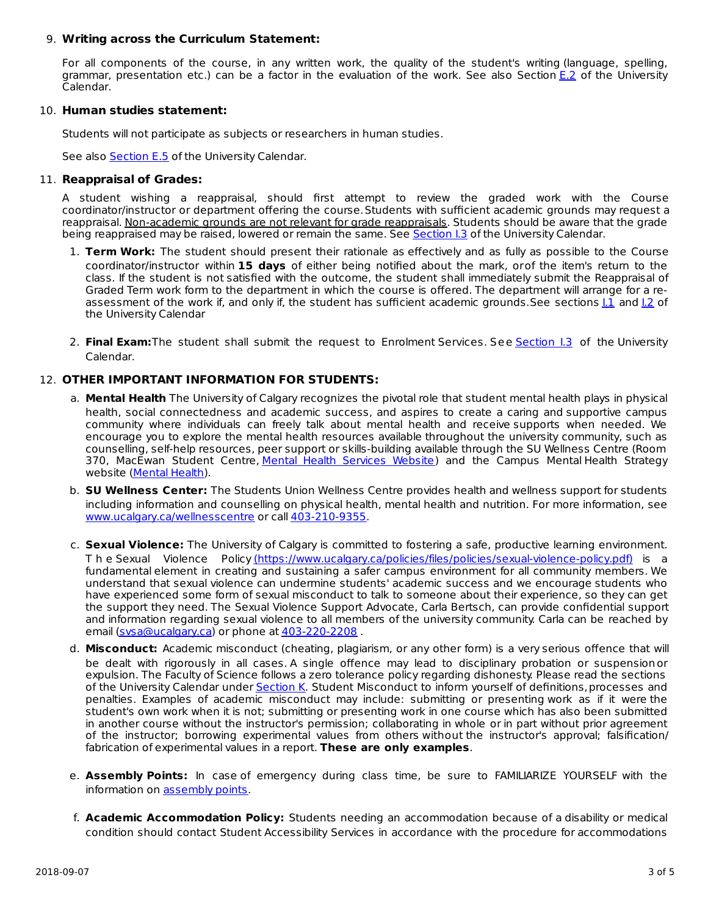## 9. **Writing across the Curriculum Statement:**

For all components of the course, in any written work, the quality of the student's writing (language, spelling, grammar, presentation etc.) can be a factor in the evaluation of the work. See also Section [E.2](http://www.ucalgary.ca/pubs/calendar/current/e-2.html) of the University Calendar.

### 10. **Human studies statement:**

Students will not participate as subjects or researchers in human studies.

See also **[Section](http://www.ucalgary.ca/pubs/calendar/current/e-5.html) E.5** of the University Calendar.

### 11. **Reappraisal of Grades:**

A student wishing a reappraisal, should first attempt to review the graded work with the Course coordinator/instructor or department offering the course.Students with sufficient academic grounds may request a reappraisal. Non-academic grounds are not relevant for grade reappraisals. Students should be aware that the grade being reappraised may be raised, lowered or remain the same. See [Section](http://www.ucalgary.ca/pubs/calendar/current/i-3.html) I.3 of the University Calendar.

- 1. **Term Work:** The student should present their rationale as effectively and as fully as possible to the Course coordinator/instructor within **15 days** of either being notified about the mark, orof the item's return to the class. If the student is not satisfied with the outcome, the student shall immediately submit the Reappraisal of Graded Term work form to the department in which the course is offered. The department will arrange for a reassessment of the work if, and only if, the student has sufficient academic grounds.See sections [I.1](http://www.ucalgary.ca/pubs/calendar/current/i-1.html) and [I.2](http://www.ucalgary.ca/pubs/calendar/current/i-2.html) of the University Calendar
- 2. **Final Exam:**The student shall submit the request to Enrolment Services. See [Section](http://www.ucalgary.ca/pubs/calendar/current/i-3.html) I.3 of the University Calendar.

## 12. **OTHER IMPORTANT INFORMATION FOR STUDENTS:**

- a. **Mental Health** The University of Calgary recognizes the pivotal role that student mental health plays in physical health, social connectedness and academic success, and aspires to create a caring and supportive campus community where individuals can freely talk about mental health and receive supports when needed. We encourage you to explore the mental health resources available throughout the university community, such as counselling, self-help resources, peer support or skills-building available through the SU Wellness Centre (Room 370, MacEwan Student Centre, Mental Health [Services](https://www.ucalgary.ca/wellnesscentre/services/mental-health-services) Website) and the Campus Mental Health Strategy website [\(Mental](http://www.ucalgary.ca/mentalhealth) Health).
- b. **SU Wellness Center:** The Students Union Wellness Centre provides health and wellness support for students including information and counselling on physical health, mental health and nutrition. For more information, see [www.ucalgary.ca/wellnesscentre](http://www.ucalgary.ca/wellnesscentre) or call [403-210-9355](tel:4032109355).
- c. **Sexual Violence:** The University of Calgary is committed to fostering a safe, productive learning environment. T h e Sexual Violence Policy [\(https://www.ucalgary.ca/policies/files/policies/sexual-violence-policy.pdf\)](https://www.ucalgary.ca/policies/files/policies/sexual-violence-policy.pdf) is a fundamental element in creating and sustaining a safer campus environment for all community members. We understand that sexual violence can undermine students' academic success and we encourage students who have experienced some form of sexual misconduct to talk to someone about their experience, so they can get the support they need. The Sexual Violence Support Advocate, Carla Bertsch, can provide confidential support and information regarding sexual violence to all members of the university community. Carla can be reached by email [\(svsa@ucalgary.ca](mailto:svsa@ucalgary.ca)) or phone at [403-220-2208](tel:4032202208) .
- d. **Misconduct:** Academic misconduct (cheating, plagiarism, or any other form) is a very serious offence that will be dealt with rigorously in all cases. A single offence may lead to disciplinary probation or suspensionor expulsion. The Faculty of Science follows a zero tolerance policy regarding dishonesty. Please read the sections of the University Calendar under [Section](http://www.ucalgary.ca/pubs/calendar/current/k.html) K. Student Misconduct to inform yourself of definitions, processes and penalties. Examples of academic misconduct may include: submitting or presenting work as if it were the student's own work when it is not; submitting or presenting work in one course which has also been submitted in another course without the instructor's permission; collaborating in whole or in part without prior agreement of the instructor; borrowing experimental values from others without the instructor's approval; falsification/ fabrication of experimental values in a report. **These are only examples**.
- e. **Assembly Points:** In case of emergency during class time, be sure to FAMILIARIZE YOURSELF with the information on **[assembly](http://www.ucalgary.ca/emergencyplan/assemblypoints) points**.
- f. **Academic Accommodation Policy:** Students needing an accommodation because of a disability or medical condition should contact Student Accessibility Services in accordance with the procedure for accommodations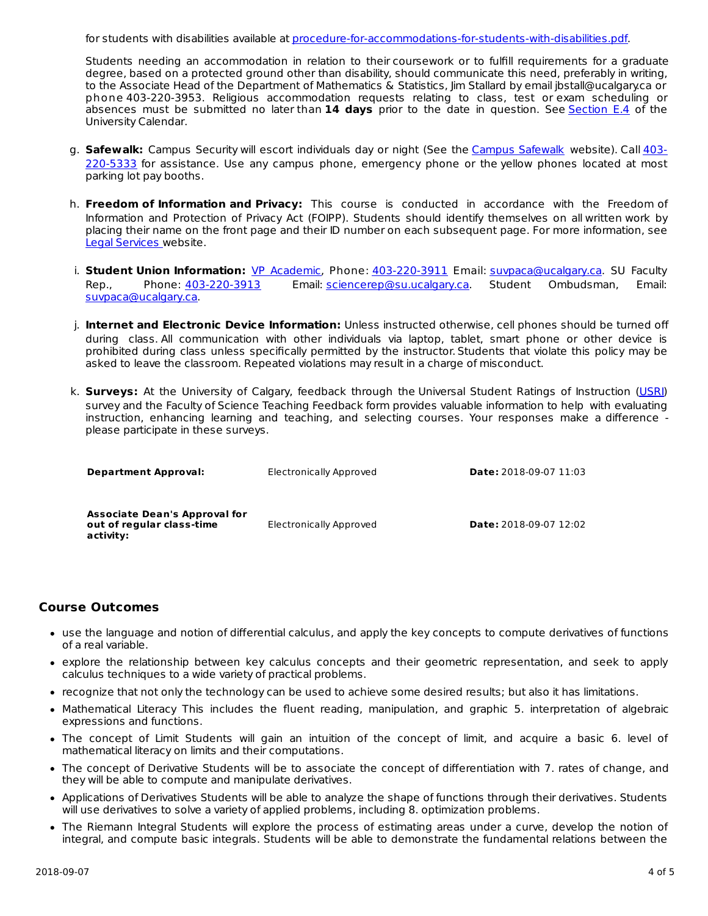for students with disabilities available at [procedure-for-accommodations-for-students-with-disabilities.pdf](http://www.ucalgary.ca/policies/files/policies/procedure-for-accommodations-for-students-with-disabilities_0.pdf).

Students needing an accommodation in relation to their coursework or to fulfill requirements for a graduate degree, based on a protected ground other than disability, should communicate this need, preferably in writing, to the Associate Head of the Department of Mathematics & Statistics, Jim Stallard by email jbstall@ucalgary.ca or phone 403-220-3953. Religious accommodation requests relating to class, test or exam scheduling or absences must be submitted no later than **14 days** prior to the date in question. See [Section](http://www.ucalgary.ca/pubs/calendar/current/e-4.html) E.4 of the University Calendar.

- g. **[Safewalk:](tel:4032205333)** Campus Security will escort individuals day or night (See the Campus [Safewalk](http://www.ucalgary.ca/security/safewalk) website). Call 403- 220-5333 for assistance. Use any campus phone, emergency phone or the yellow phones located at most parking lot pay booths.
- h. **Freedom of Information and Privacy:** This course is conducted in accordance with the Freedom of Information and Protection of Privacy Act (FOIPP). Students should identify themselves on all written work by placing their name on the front page and their ID number on each subsequent page. For more information, see Legal [Services](http://www.ucalgary.ca/legalservices/foip) website.
- i. **Student Union Information:** VP [Academic](http://www.su.ucalgary.ca/contact), Phone: [403-220-3911](tel:4032203911) Email: [suvpaca@ucalgary.ca](mailto:suvpaca@ucalgary.ca). SU Faculty Rep., Phone: [403-220-3913](tel:4032203913) Email: [sciencerep@su.ucalgary.ca](mailto:sciencerep@su.ucalgary.ca). Student Ombudsman, Email: [suvpaca@ucalgary.ca](mailto:suvpaca@ucalgary.ca).
- j. **Internet and Electronic Device Information:** Unless instructed otherwise, cell phones should be turned off during class. All communication with other individuals via laptop, tablet, smart phone or other device is prohibited during class unless specifically permitted by the instructor. Students that violate this policy may be asked to leave the classroom. Repeated violations may result in a charge of misconduct.
- k. **Surveys:** At the University of Calgary, feedback through the Universal Student Ratings of Instruction [\(USRI](http://www.ucalgary.ca/usri)) survey and the Faculty of Science Teaching Feedback form provides valuable information to help with evaluating instruction, enhancing learning and teaching, and selecting courses. Your responses make a difference please participate in these surveys.

| <b>Department Approval:</b>                                                    | Electronically Approved | <b>Date:</b> 2018-09-07 11:03 |  |  |
|--------------------------------------------------------------------------------|-------------------------|-------------------------------|--|--|
| <b>Associate Dean's Approval for</b><br>out of regular class-time<br>activity: | Electronically Approved | <b>Date:</b> 2018-09-07 12:02 |  |  |

# **Course Outcomes**

- use the language and notion of differential calculus, and apply the key concepts to compute derivatives of functions of a real variable.
- explore the relationship between key calculus concepts and their geometric representation, and seek to apply calculus techniques to a wide variety of practical problems.
- recognize that not only the technology can be used to achieve some desired results; but also it has limitations.
- Mathematical Literacy This includes the fluent reading, manipulation, and graphic 5. interpretation of algebraic expressions and functions.
- The concept of Limit Students will gain an intuition of the concept of limit, and acquire a basic 6. level of mathematical literacy on limits and their computations.
- The concept of Derivative Students will be to associate the concept of differentiation with 7. rates of change, and they will be able to compute and manipulate derivatives.
- Applications of Derivatives Students will be able to analyze the shape of functions through their derivatives. Students will use derivatives to solve a variety of applied problems, including 8. optimization problems.
- The Riemann Integral Students will explore the process of estimating areas under a curve, develop the notion of integral, and compute basic integrals. Students will be able to demonstrate the fundamental relations between the